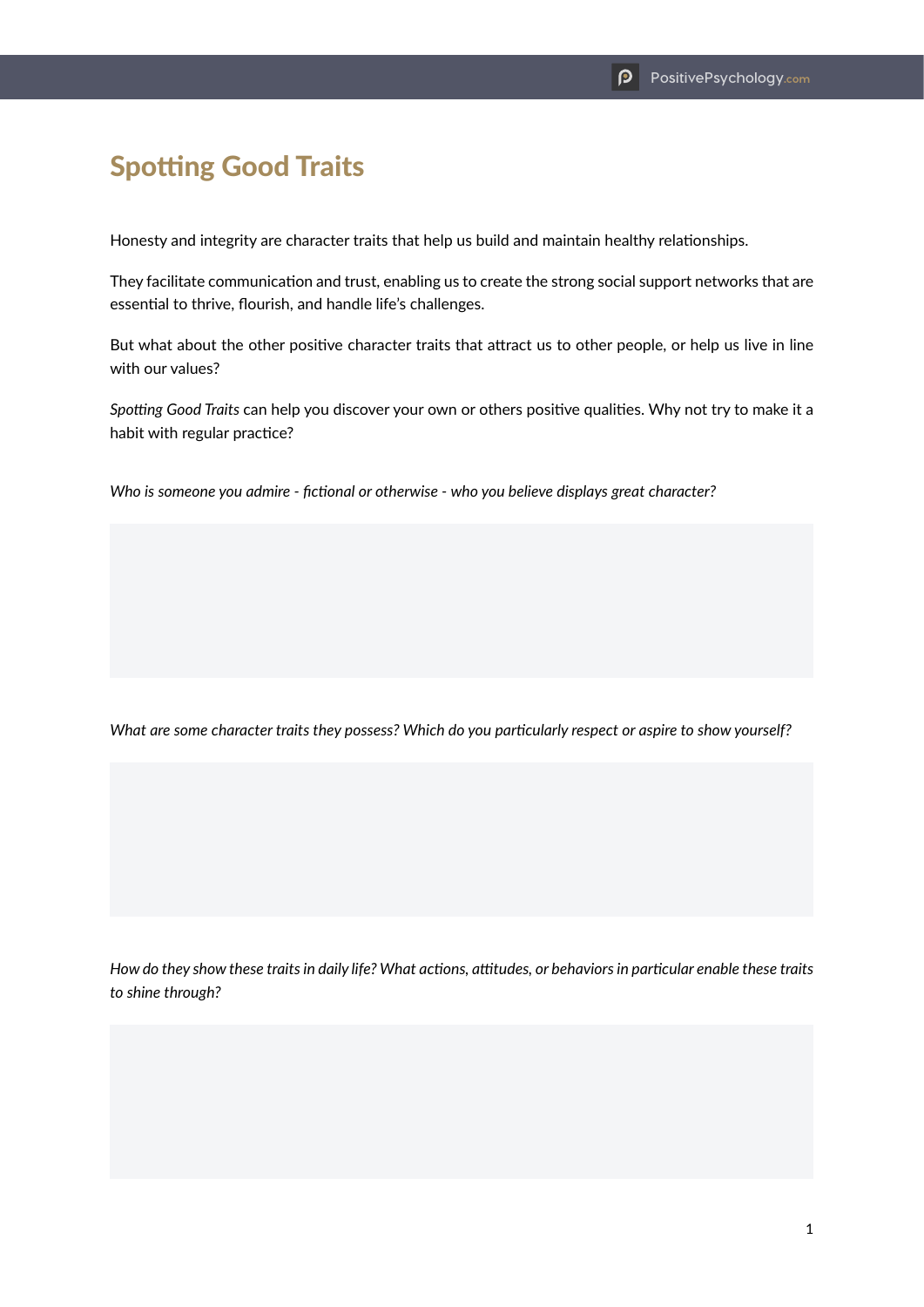## Spotting Good Traits

Honesty and integrity are character traits that help us build and maintain healthy relationships.

They facilitate communication and trust, enabling us to create the strong social support networks that are essential to thrive, flourish, and handle life's challenges.

But what about the other positive character traits that attract us to other people, or help us live in line with our values?

*Spotting Good Traits* can help you discover your own or others positive qualities. Why not try to make it a habit with regular practice?

*Who is someone you admire - fictional or otherwise - who you believe displays great character?*

*What are some character traits they possess? Which do you particularly respect or aspire to show yourself?*

*How do they show these traits in daily life? What actions, attitudes, or behaviors in particular enable these traits to shine through?*